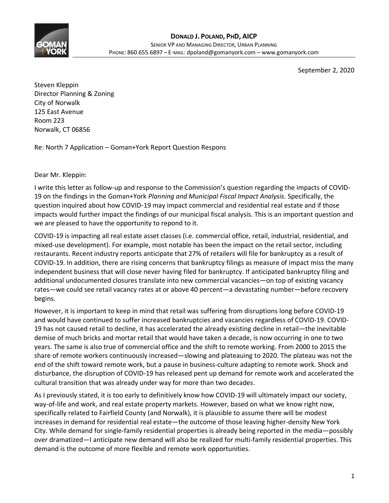

September 2, 2020

Steven Kleppin Director Planning & Zoning City of Norwalk 125 East Avenue Room 223 Norwalk, CT 06856

Re: North 7 Application – Goman+York Report Question Respons

Dear Mr. Kleppin:

I write this letter as follow-up and response to the Commission's question regarding the impacts of COVID-19 on the findings in the Goman+York *Planning and Municipal Fiscal Impact Analysis.* Specifically, the question inquired about how COVID-19 may impact commercial and residential real estate and if those impacts would further impact the findings of our municipal fiscal analysis. This is an important question and we are pleased to have the opportunity to repond to it.

COVID-19 is impacting all real estate asset classes (i.e. commercial office, retail, industrial, residential, and mixed-use development). For example, most notable has been the impact on the retail sector, including restaurants. Recent industry reports anticipate that 27% of retailers will file for bankruptcy as a result of COVID-19. In addition, there are rising concerns that bankruptcy filings as measure of impact miss the many independent business that will close never having filed for bankruptcy. If anticipated bankruptcy filing and additional undocumented closures translate into new commercial vacancies—on top of existing vacancy rates—we could see retail vacancy rates at or above 40 percent—a devastating number—before recovery begins.

However, it is important to keep in mind that retail was suffering from disruptions long before COVID-19 and would have continued to suffer increased bankruptcies and vacancies regardless of COVID-19. COVID-19 has not caused retail to decline, it has accelerated the already existing decline in retail—the inevitable demise of much bricks and mortar retail that would have taken a decade, is now occurring in one to two years. The same is also true of commercial office and the shift to remote working. From 2000 to 2015 the share of remote workers continuously increased—slowing and plateauing to 2020. The plateau was not the end of the shift toward remote work, but a pause in business-culture adapting to remote work. Shock and disturbance, the disruption of COVID-19 has released pent up demand for remote work and accelerated the cultural transition that was already under way for more than two decades.

As I previously stated, it is too early to definitively know how COVID-19 will ultimately impact our society, way-of-life and work, and real estate property markets. However, based on what we know right now, specifically related to Fairfield County (and Norwalk), it is plausible to assume there will be modest increases in demand for residential real estate—the outcome of those leaving higher-density New York City. While demand for single-family residential properties is already being reported in the media—possibly over dramatized—I anticipate new demand will also be realized for multi-family residential properties. This demand is the outcome of more flexible and remote work opportunities.